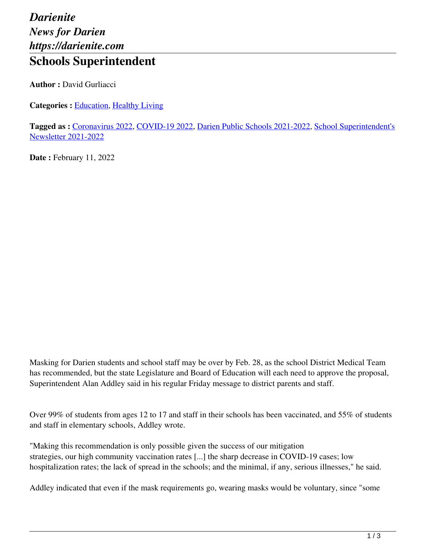## *Darienite News for Darien https://darienite.com* **Schools Superintendent**

**Author :** David Gurliacci

**Categories :** [Education,](https://darienite.com/category/news/education) Healthy Living

**Tagged as :** Coronavirus 2022, COVID-19 2022, Darien Public Schools 2021-2022, School Superintendent's Newsletter 2021-2022

**Date : February 11, 2022** 

Masking for Darien students and school staff may be over by Feb. 28, as the school District Medical Team has recommended, but the state Legislature and Board of Education will each need to approve the proposal, Superintendent Alan Addley said in his regular Friday message to district parents and staff.

Over 99% of students from ages 12 to 17 and staff in their schools has been vaccinated, and 55% of students and staff in elementary schools, Addley wrote.

"Making this recommendation is only possible given the success of our mitigation strategies, our high community vaccination rates [...] the sharp decrease in COVID-19 cases; low hospitalization rates; the lack of spread in the schools; and the minimal, if any, serious illnesses," he said.

Addley indicated that even if the mask requirements go, wearing masks would be voluntary, since "some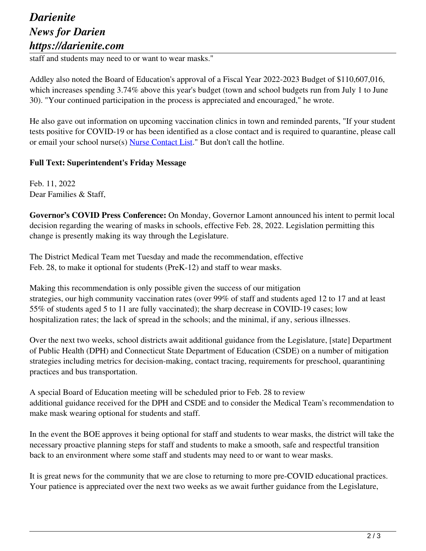## *Darienite News for Darien https://darienite.com*

staff and students may need to or want to wear masks."

Addley also noted the Board of Education's approval of a Fiscal Year 2022-2023 Budget of \$110,607,016, which increases spending 3.74% above this year's budget (town and school budgets run from July 1 to June 30). "Your continued participation in the process is appreciated and encouraged," he wrote.

He also gave out information on upcoming vaccination clinics in town and reminded parents, "If your student tests positive for COVID-19 or has been identified as a close contact and is required to quarantine, please call or email your school nurse(s) Nurse Contact List." But don't call the hotline.

## **Full Text: Superintendent's Friday Message**

Feb. 11, 2022 Dear Families & Staff,

**Governor's COVID Press Conference:** On Monday, Governor Lamont announced his intent to permit local decision regarding the wearing of masks in schools, effective Feb. 28, 2022. Legislation permitting this change is presently making its way through the Legislature.

The District Medical Team met Tuesday and made the recommendation, effective Feb. 28, to make it optional for students (PreK-12) and staff to wear masks.

Making this recommendation is only possible given the success of our mitigation strategies, our high community vaccination rates (over 99% of staff and students aged 12 to 17 and at least 55% of students aged 5 to 11 are fully vaccinated); the sharp decrease in COVID-19 cases; low hospitalization rates; the lack of spread in the schools; and the minimal, if any, serious illnesses.

Over the next two weeks, school districts await additional guidance from the Legislature, [state] Department of Public Health (DPH) and Connecticut State Department of Education (CSDE) on a number of mitigation strategies including metrics for decision-making, contact tracing, requirements for preschool, quarantining practices and bus transportation.

A special Board of Education meeting will be scheduled prior to Feb. 28 to review additional guidance received for the DPH and CSDE and to consider the Medical Team's recommendation to make mask wearing optional for students and staff.

In the event the BOE approves it being optional for staff and students to wear masks, the district will take the necessary proactive planning steps for staff and students to make a smooth, safe and respectful transition back to an environment where some staff and students may need to or want to wear masks.

It is great news for the community that we are close to returning to more pre-COVID educational practices. Your patience is appreciated over the next two weeks as we await further guidance from the Legislature,